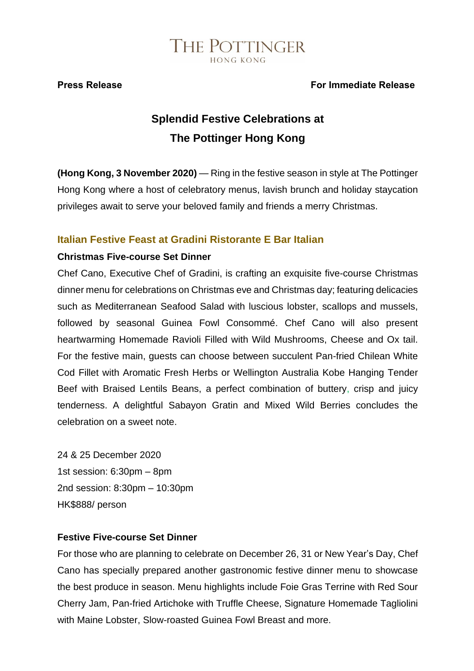#### **Press Release For Immediate Release**

### **Splendid Festive Celebrations at The Pottinger Hong Kong**

**(Hong Kong, 3 November 2020)** — Ring in the festive season in style at The Pottinger Hong Kong where a host of celebratory menus, lavish brunch and holiday staycation privileges await to serve your beloved family and friends a merry Christmas.

#### **Italian Festive Feast at Gradini Ristorante E Bar Italian**

#### **Christmas Five-course Set Dinner**

Chef Cano, Executive Chef of Gradini, is crafting an exquisite five-course Christmas dinner menu for celebrations on Christmas eve and Christmas day; featuring delicacies such as Mediterranean Seafood Salad with luscious lobster, scallops and mussels, followed by seasonal Guinea Fowl Consommé. Chef Cano will also present heartwarming Homemade Ravioli Filled with Wild Mushrooms, Cheese and Ox tail. For the festive main, guests can choose between succulent Pan-fried Chilean White Cod Fillet with Aromatic Fresh Herbs or Wellington Australia Kobe Hanging Tender Beef with Braised Lentils Beans, a perfect combination of buttery, crisp and juicy tenderness. A delightful Sabayon Gratin and Mixed Wild Berries concludes the celebration on a sweet note.

24 & 25 December 2020 1st session: 6:30pm – 8pm 2nd session: 8:30pm – 10:30pm HK\$888/ person

#### **Festive Five-course Set Dinner**

For those who are planning to celebrate on December 26, 31 or New Year's Day, Chef Cano has specially prepared another gastronomic festive dinner menu to showcase the best produce in season. Menu highlights include Foie Gras Terrine with Red Sour Cherry Jam, Pan-fried Artichoke with Truffle Cheese, Signature Homemade Tagliolini with Maine Lobster, Slow-roasted Guinea Fowl Breast and more.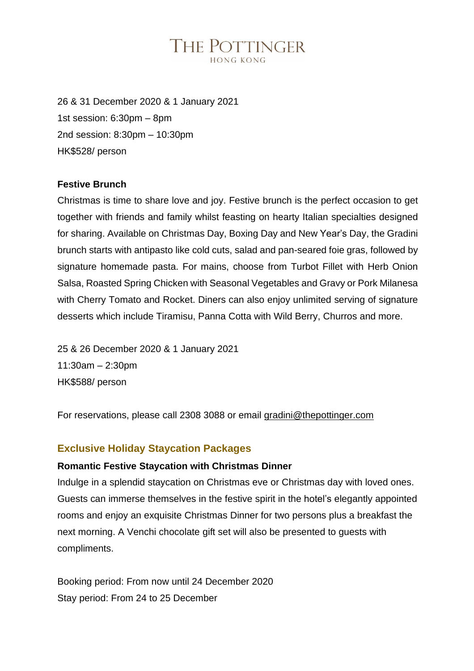26 & 31 December 2020 & 1 January 2021 1st session: 6:30pm – 8pm 2nd session: 8:30pm – 10:30pm HK\$528/ person

#### **Festive Brunch**

Christmas is time to share love and joy. Festive brunch is the perfect occasion to get together with friends and family whilst feasting on hearty Italian specialties designed for sharing. Available on Christmas Day, Boxing Day and New Year's Day, the Gradini brunch starts with antipasto like cold cuts, salad and pan-seared foie gras, followed by signature homemade pasta. For mains, choose from Turbot Fillet with Herb Onion Salsa, Roasted Spring Chicken with Seasonal Vegetables and Gravy or Pork Milanesa with Cherry Tomato and Rocket. Diners can also enjoy unlimited serving of signature desserts which include Tiramisu, Panna Cotta with Wild Berry, Churros and more.

25 & 26 December 2020 & 1 January 2021 11:30am – 2:30pm HK\$588/ person

For reservations, please call 2308 3088 or email [gradini@thepottinger.com](mailto:gradini@thepottinger.com)

#### **Exclusive Holiday Staycation Packages**

#### **Romantic Festive Staycation with Christmas Dinner**

Indulge in a splendid staycation on Christmas eve or Christmas day with loved ones. Guests can immerse themselves in the festive spirit in the hotel's elegantly appointed rooms and enjoy an exquisite Christmas Dinner for two persons plus a breakfast the next morning. A Venchi chocolate gift set will also be presented to guests with compliments.

Booking period: From now until 24 December 2020 Stay period: From 24 to 25 December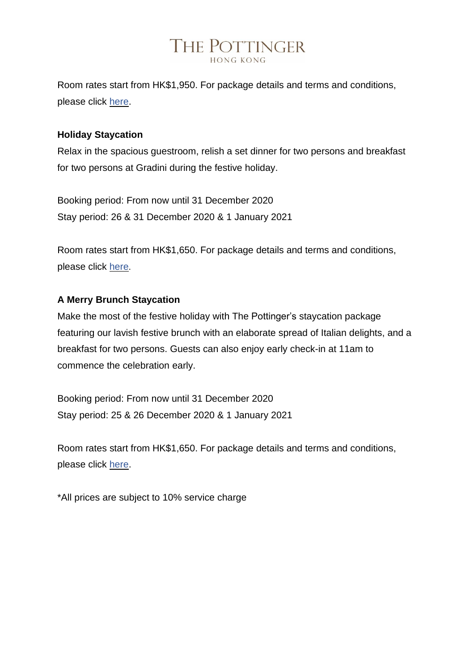Room rates start from HK\$1,950. For package details and terms and conditions, please click [here.](https://be.synxis.com/?hotel=7869&chain=24660&locale=en-GB&rate=XMAS2020&arrive=2020-12-24)

#### **Holiday Staycation**

Relax in the spacious guestroom, relish a set dinner for two persons and breakfast for two persons at Gradini during the festive holiday.

Booking period: From now until 31 December 2020 Stay period: 26 & 31 December 2020 & 1 January 2021

Room rates start from HK\$1,650. For package details and terms and conditions, please click [here](https://be.synxis.com/?hotel=7869&chain=24660&locale=en-GB&rate=XMASBDNY&arrive=2020-12-26).

#### **A Merry Brunch Staycation**

Make the most of the festive holiday with The Pottinger's staycation package featuring our lavish festive brunch with an elaborate spread of Italian delights, and a breakfast for two persons. Guests can also enjoy early check-in at 11am to commence the celebration early.

Booking period: From now until 31 December 2020 Stay period: 25 & 26 December 2020 & 1 January 2021

Room rates start from HK\$1,650. For package details and terms and conditions, please click [here.](https://be.synxis.com/?hotel=7869&chain=24660&locale=en-GB&rate=XMASBRUNCH&arrive=2020-12-25)

\*All prices are subject to 10% service charge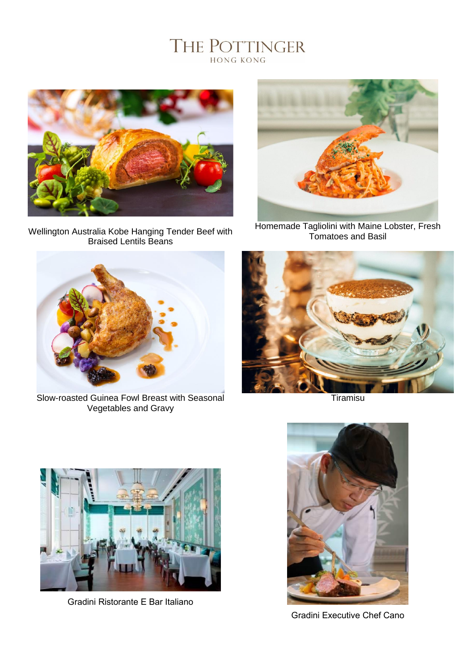

Wellington Australia Kobe Hanging Tender Beef with Braised Lentils Beans



Homemade Tagliolini with Maine Lobster, Fresh Tomatoes and Basil



Slow-roasted Guinea Fowl Breast with Seasonal Vegetables and Gravy



**Tiramisu** 



Gradini Ristorante E Bar Italiano



Gradini Executive Chef Cano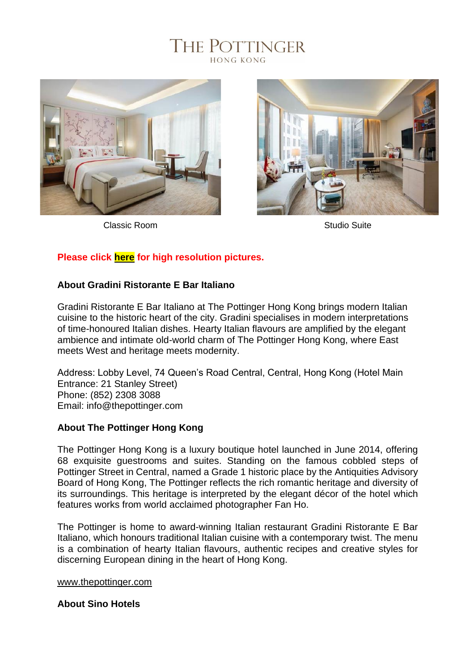### THE POTTINGER HONG KONG



Classic Room **Studio Suite** Classic Room **Studio Suite** Studio Suite



### **Please click [here](https://bit.ly/tph_xmas) for high resolution pictures.**

#### **About Gradini Ristorante E Bar Italiano**

Gradini Ristorante E Bar Italiano at The Pottinger Hong Kong brings modern Italian cuisine to the historic heart of the city. Gradini specialises in modern interpretations of time-honoured Italian dishes. Hearty Italian flavours are amplified by the elegant ambience and intimate old-world charm of The Pottinger Hong Kong, where East meets West and heritage meets modernity.

Address: Lobby Level, 74 Queen's Road Central, Central, Hong Kong (Hotel Main Entrance: 21 Stanley Street) Phone: (852) 2308 3088 Email: info@thepottinger.com

#### **About The Pottinger Hong Kong**

The Pottinger Hong Kong is a luxury boutique hotel launched in June 2014, offering 68 exquisite guestrooms and suites. Standing on the famous cobbled steps of Pottinger Street in Central, named a Grade 1 historic place by the Antiquities Advisory Board of Hong Kong, The Pottinger reflects the rich romantic heritage and diversity of its surroundings. This heritage is interpreted by the elegant décor of the hotel which features works from world acclaimed photographer Fan Ho.

The Pottinger is home to award-winning Italian restaurant Gradini Ristorante E Bar Italiano, which honours traditional Italian cuisine with a contemporary twist. The menu is a combination of hearty Italian flavours, authentic recipes and creative styles for discerning European dining in the heart of Hong Kong.

#### [www.thepottinger.com](http://www.thepottinger.com/)

#### **About Sino Hotels**